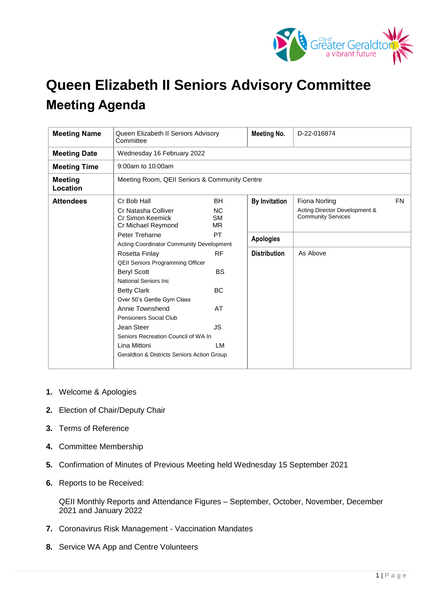

# **Queen Elizabeth II Seniors Advisory Committee Meeting Agenda**

| <b>Meeting Name</b>        | Queen Elizabeth II Seniors Advisory<br>Committee              |                               | <b>Meeting No.</b>   | D-22-016874                                                |           |  |
|----------------------------|---------------------------------------------------------------|-------------------------------|----------------------|------------------------------------------------------------|-----------|--|
| <b>Meeting Date</b>        | Wednesday 16 February 2022                                    |                               |                      |                                                            |           |  |
| <b>Meeting Time</b>        | 9:00am to 10:00am                                             |                               |                      |                                                            |           |  |
| <b>Meeting</b><br>Location | Meeting Room, QEII Seniors & Community Centre                 |                               |                      |                                                            |           |  |
| <b>Attendees</b>           | Cr Bob Hall                                                   | <b>BH</b>                     | <b>By Invitation</b> | Fiona Norling                                              | <b>FN</b> |  |
|                            | Cr Natasha Colliver<br>Cr Simon Keemick<br>Cr Michael Reymond | NC.<br><b>SM</b><br><b>MR</b> |                      | Acting Director Development &<br><b>Community Services</b> |           |  |
|                            | Peter Treharne                                                | <b>PT</b>                     | <b>Apologies</b>     |                                                            |           |  |
|                            | <b>Acting Coordinator Community Development</b>               |                               |                      |                                                            |           |  |
|                            | Rosetta Finlay                                                | <b>RF</b>                     | <b>Distribution</b>  | As Above                                                   |           |  |
|                            | <b>QEII Seniors Programming Officer</b>                       |                               |                      |                                                            |           |  |
|                            | <b>Beryl Scott</b>                                            | <b>BS</b>                     |                      |                                                            |           |  |
|                            | National Seniors Inc                                          |                               |                      |                                                            |           |  |
|                            | <b>Betty Clark</b>                                            | <b>BC</b>                     |                      |                                                            |           |  |
|                            | Over 50's Gentle Gym Class                                    |                               |                      |                                                            |           |  |
|                            | Annie Townshend                                               | AT                            |                      |                                                            |           |  |
|                            | Pensioners Social Club                                        |                               |                      |                                                            |           |  |
|                            | Jean Steer                                                    | JS.                           |                      |                                                            |           |  |
|                            | Seniors Recreation Council of WA In                           |                               |                      |                                                            |           |  |
|                            | Lina Mittoni                                                  | LM                            |                      |                                                            |           |  |
|                            | Geraldton & Districts Seniors Action Group                    |                               |                      |                                                            |           |  |

- **1.** Welcome & Apologies
- **2.** Election of Chair/Deputy Chair
- **3.** Terms of Reference
- **4.** Committee Membership
- **5.** Confirmation of Minutes of Previous Meeting held Wednesday 15 September 2021
- **6.** Reports to be Received:

QEII Monthly Reports and Attendance Figures – September, October, November, December 2021 and January 2022

- **7.** Coronavirus Risk Management Vaccination Mandates
- **8.** Service WA App and Centre Volunteers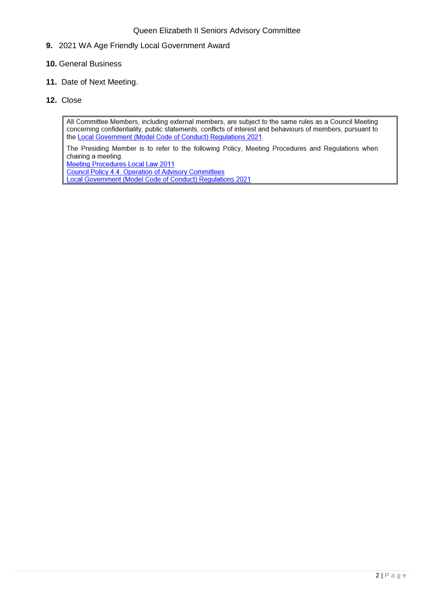### **9.** 2021 WA Age Friendly Local Government Award

#### **10.** General Business

- **11.** Date of Next Meeting.
- **12.** Close

All Committee Members, including external members, are subject to the same rules as a Council Meeting concerning confidentiality, public statements, conflicts of interest and behaviours of members, pursuant to the Local Government (Model Code of Conduct) Regulations 2021.

The Presiding Member is to refer to the following Policy, Meeting Procedures and Regulations when chairing a meeting.

Meeting Procedures Local Law 2011<br>Council Policy 4.4. Operation of Advisory Committees

Local Government (Model Code of Conduct) Regulations 2021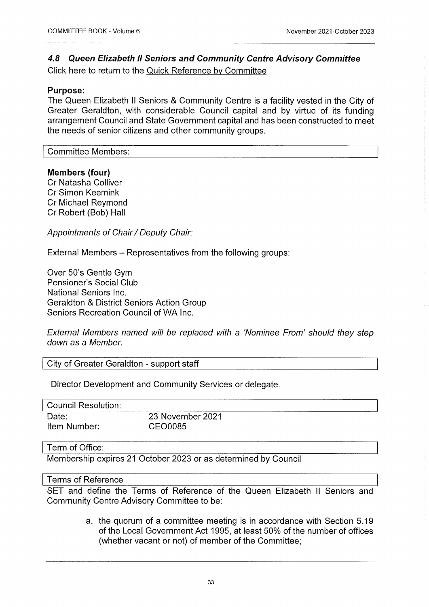# 4.8 Queen Elizabeth II Seniors and Community Centre Advisory Committee

Click here to return to the Quick Reference by Committee

### Purpose:

The Queen Elizabeth II Seniors & Community Centre is a facility vested in the City of Greater Geraldton, with considerable Council capital and by virtue of its funding arrangement Council and State Government capital and has been constructed to meet the needs of senior citizens and other community groups.

Committee Members:

### Members (four)

Cr Natasha Colliver Cr Simon Keemink Cr Michael Reymond Cr Robert (Bob) Hall

Appointments of Chair / Deputy Chair:

External Members - Representatives from the following groups:

Over 50's Gentle Gym Pensioner's Social Club National Seniors Inc. Geraldton & District Seniors Action Group Seniors Recreation Council ofWA Inc.

External Members named will be replaced with a 'Nominee From' should they step down as a Member.

City of Greater Geraldton - support staff

Director Development and Community Services or delegate.

| Council Resolution: |                  |  |
|---------------------|------------------|--|
| Date:               | 23 November 2021 |  |
| Item Number:        | CEO0085          |  |
|                     |                  |  |

## Term of Office:

Membership expires 21 October 2023 or as determined by Council

#### Terms of Reference

SET and define the Terms of Reference of the Queen Elizabeth II Seniors and Community Centre Advisory Committee to be:

> a. the quorum of a committee meeting is in accordance with Section 5.19 of the Local Government Act 1995, at least 50% of the number of offices (whether vacant or not) of member of the Committee;